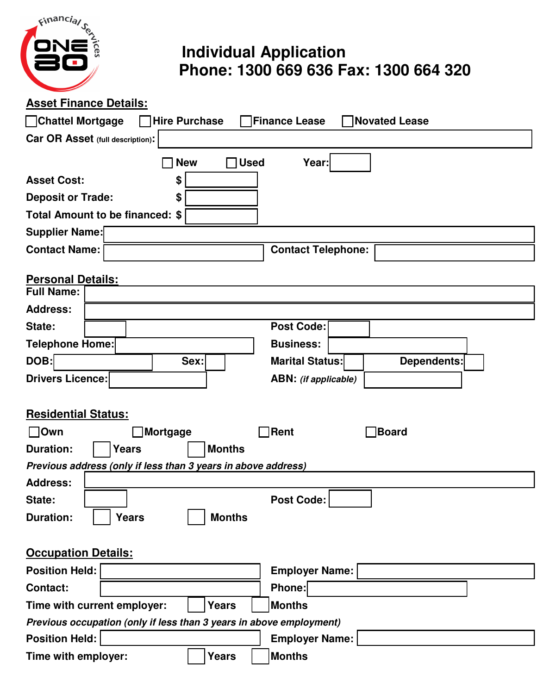

## **Individual Application Phone: 1300 669 636 Fax: 1300 664 320**

**Asset Finance Details:**

| <b>Novated Lease</b><br>Chattel Mortgage<br><b>Hire Purchase</b><br><b>Finance Lease</b> |  |  |  |  |  |  |
|------------------------------------------------------------------------------------------|--|--|--|--|--|--|
| Car OR Asset (full description):                                                         |  |  |  |  |  |  |
| <b>Used</b><br><b>New</b><br>Year:                                                       |  |  |  |  |  |  |
| <b>Asset Cost:</b><br>\$                                                                 |  |  |  |  |  |  |
| <b>Deposit or Trade:</b><br>\$                                                           |  |  |  |  |  |  |
| Total Amount to be financed: \$                                                          |  |  |  |  |  |  |
| <b>Supplier Name:</b>                                                                    |  |  |  |  |  |  |
| <b>Contact Name:</b><br><b>Contact Telephone:</b>                                        |  |  |  |  |  |  |
| <b>Personal Details:</b>                                                                 |  |  |  |  |  |  |
| <b>Full Name:</b>                                                                        |  |  |  |  |  |  |
| <b>Address:</b>                                                                          |  |  |  |  |  |  |
| <b>Post Code:</b><br>State:                                                              |  |  |  |  |  |  |
| Telephone Home:<br><b>Business:</b>                                                      |  |  |  |  |  |  |
| DOB:<br>Sex:<br><b>Marital Status:</b><br>Dependents:                                    |  |  |  |  |  |  |
| <b>Drivers Licence:</b><br><b>ABN:</b> (if applicable)                                   |  |  |  |  |  |  |
|                                                                                          |  |  |  |  |  |  |
| <b>Residential Status:</b>                                                               |  |  |  |  |  |  |
| <b>Rent</b><br>$\bigcap$ Own<br>Board<br>Mortgage                                        |  |  |  |  |  |  |
| <b>Duration:</b><br><b>Years</b><br><b>Months</b>                                        |  |  |  |  |  |  |
| Previous address (only if less than 3 years in above address)                            |  |  |  |  |  |  |
| <b>Address:</b>                                                                          |  |  |  |  |  |  |
| Post Code:  <br>State:                                                                   |  |  |  |  |  |  |
| <b>Duration:</b><br>Years<br><b>Months</b>                                               |  |  |  |  |  |  |
|                                                                                          |  |  |  |  |  |  |
| <b>Occupation Details:</b>                                                               |  |  |  |  |  |  |
| <b>Position Held:</b><br><b>Employer Name:</b>                                           |  |  |  |  |  |  |
| Phone:<br><b>Contact:</b>                                                                |  |  |  |  |  |  |
| <b>Months</b><br>Time with current employer:<br><b>Years</b>                             |  |  |  |  |  |  |
| Previous occupation (only if less than 3 years in above employment)                      |  |  |  |  |  |  |
| <b>Position Held:</b><br><b>Employer Name:</b>                                           |  |  |  |  |  |  |
| <b>Months</b><br>Time with employer:<br><b>Years</b>                                     |  |  |  |  |  |  |